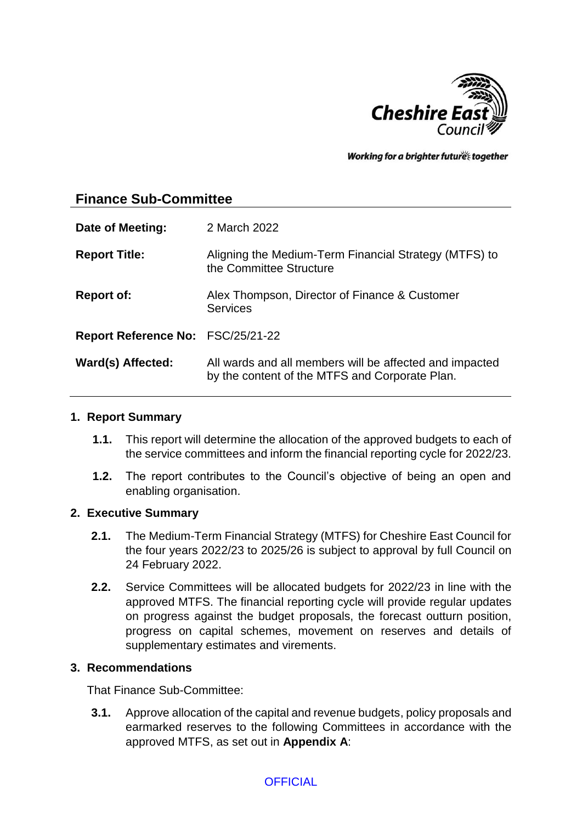

Working for a brighter futures together

# **Finance Sub-Committee**

| Date of Meeting:                  | 2 March 2022                                                                                              |
|-----------------------------------|-----------------------------------------------------------------------------------------------------------|
| <b>Report Title:</b>              | Aligning the Medium-Term Financial Strategy (MTFS) to<br>the Committee Structure                          |
| <b>Report of:</b>                 | Alex Thompson, Director of Finance & Customer<br><b>Services</b>                                          |
| Report Reference No: FSC/25/21-22 |                                                                                                           |
| Ward(s) Affected:                 | All wards and all members will be affected and impacted<br>by the content of the MTFS and Corporate Plan. |

## **1. Report Summary**

- **1.1.** This report will determine the allocation of the approved budgets to each of the service committees and inform the financial reporting cycle for 2022/23.
- **1.2.** The report contributes to the Council's objective of being an open and enabling organisation.

## **2. Executive Summary**

- **2.1.** The Medium-Term Financial Strategy (MTFS) for Cheshire East Council for the four years 2022/23 to 2025/26 is subject to approval by full Council on 24 February 2022.
- **2.2.** Service Committees will be allocated budgets for 2022/23 in line with the approved MTFS. The financial reporting cycle will provide regular updates on progress against the budget proposals, the forecast outturn position, progress on capital schemes, movement on reserves and details of supplementary estimates and virements.

## **3. Recommendations**

That Finance Sub-Committee:

**3.1.** Approve allocation of the capital and revenue budgets, policy proposals and earmarked reserves to the following Committees in accordance with the approved MTFS, as set out in **Appendix A**: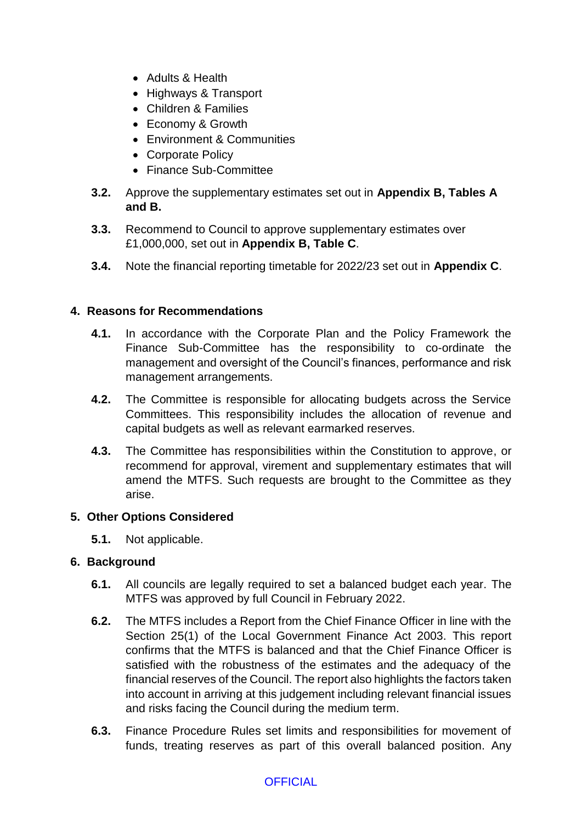- Adults & Health
- Highways & Transport
- Children & Families
- Economy & Growth
- Environment & Communities
- Corporate Policy
- Finance Sub-Committee
- **3.2.** Approve the supplementary estimates set out in **Appendix B, Tables A and B.**
- **3.3.** Recommend to Council to approve supplementary estimates over £1,000,000, set out in **Appendix B, Table C**.
- **3.4.** Note the financial reporting timetable for 2022/23 set out in **Appendix C**.

## **4. Reasons for Recommendations**

- **4.1.** In accordance with the Corporate Plan and the Policy Framework the Finance Sub-Committee has the responsibility to co-ordinate the management and oversight of the Council's finances, performance and risk management arrangements.
- **4.2.** The Committee is responsible for allocating budgets across the Service Committees. This responsibility includes the allocation of revenue and capital budgets as well as relevant earmarked reserves.
- **4.3.** The Committee has responsibilities within the Constitution to approve, or recommend for approval, virement and supplementary estimates that will amend the MTFS. Such requests are brought to the Committee as they arise.

## **5. Other Options Considered**

**5.1.** Not applicable.

## **6. Background**

- **6.1.** All councils are legally required to set a balanced budget each year. The MTFS was approved by full Council in February 2022.
- **6.2.** The MTFS includes a Report from the Chief Finance Officer in line with the Section 25(1) of the Local Government Finance Act 2003. This report confirms that the MTFS is balanced and that the Chief Finance Officer is satisfied with the robustness of the estimates and the adequacy of the financial reserves of the Council. The report also highlights the factors taken into account in arriving at this judgement including relevant financial issues and risks facing the Council during the medium term.
- **6.3.** Finance Procedure Rules set limits and responsibilities for movement of funds, treating reserves as part of this overall balanced position. Any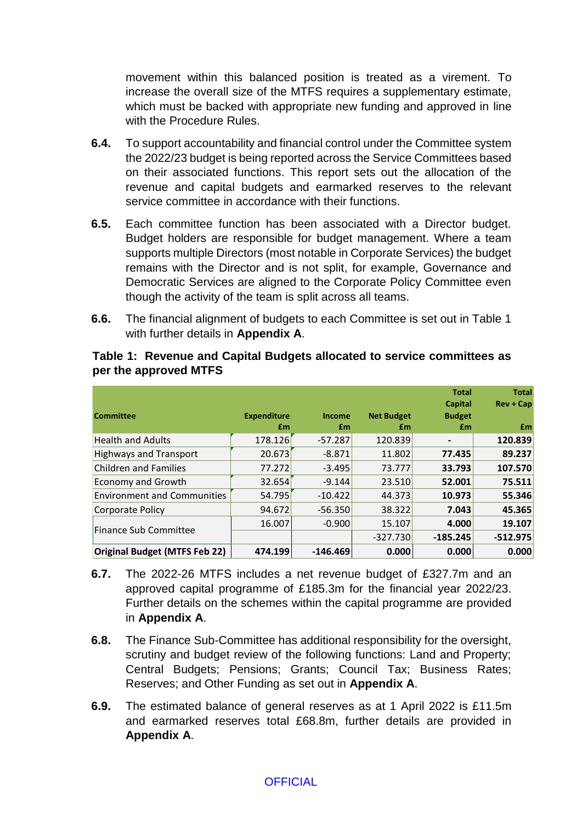movement within this balanced position is treated as a virement. To increase the overall size of the MTFS requires a supplementary estimate, which must be backed with appropriate new funding and approved in line with the Procedure Rules.

- **6.4.** To support accountability and financial control under the Committee system the 2022/23 budget is being reported across the Service Committees based on their associated functions. This report sets out the allocation of the revenue and capital budgets and earmarked reserves to the relevant service committee in accordance with their functions.
- **6.5.** Each committee function has been associated with a Director budget. Budget holders are responsible for budget management. Where a team supports multiple Directors (most notable in Corporate Services) the budget remains with the Director and is not split, for example, Governance and Democratic Services are aligned to the Corporate Policy Committee even though the activity of the team is split across all teams.
- **6.6.** The financial alignment of budgets to each Committee is set out in Table 1 with further details in **Appendix A**.

| <b>Committee</b>                   | <b>Expenditure</b> | Income     | <b>Net Budget</b> | <b>Total</b><br>Capital<br><b>Budget</b> | <b>Total</b><br>$Rev + Cap$ |
|------------------------------------|--------------------|------------|-------------------|------------------------------------------|-----------------------------|
|                                    | £m                 | £m         | £m                | £m                                       | £m                          |
| <b>Health and Adults</b>           | 178.126            | $-57.287$  | 120.839           |                                          | 120.839                     |
| <b>Highways and Transport</b>      | 20.673             | $-8.871$   | 11.802            | 77.435                                   | 89.237                      |
| Children and Families              | 77.272             | $-3.495$   | 73.777            | 33.793                                   | 107.570                     |
| <b>Economy and Growth</b>          | 32.654             | $-9.144$   | 23.510            | 52.001                                   | 75.511                      |
| <b>Environment and Communities</b> | 54.795             | $-10.422$  | 44.373            | 10.973                                   | 55.346                      |
| Corporate Policy                   | 94.672             | $-56.350$  | 38.322            | 7.043                                    | 45.365                      |
| Finance Sub Committee              | 16.007             | $-0.900$   | 15.107            | 4.000                                    | 19.107                      |
|                                    |                    |            | $-327.730$        | $-185.245$                               | $-512.975$                  |
| Original Budget (MTFS Feb 22)      | 474.199            | $-146.469$ | 0.000             | 0.000                                    | 0.000                       |

## **Table 1: Revenue and Capital Budgets allocated to service committees as per the approved MTFS**

- **6.7.** The 2022-26 MTFS includes a net revenue budget of £327.7m and an approved capital programme of £185.3m for the financial year 2022/23. Further details on the schemes within the capital programme are provided in **Appendix A**.
- **6.8.** The Finance Sub-Committee has additional responsibility for the oversight, scrutiny and budget review of the following functions: Land and Property; Central Budgets; Pensions; Grants; Council Tax; Business Rates; Reserves; and Other Funding as set out in **Appendix A**.
- **6.9.** The estimated balance of general reserves as at 1 April 2022 is £11.5m and earmarked reserves total £68.8m, further details are provided in **Appendix A**.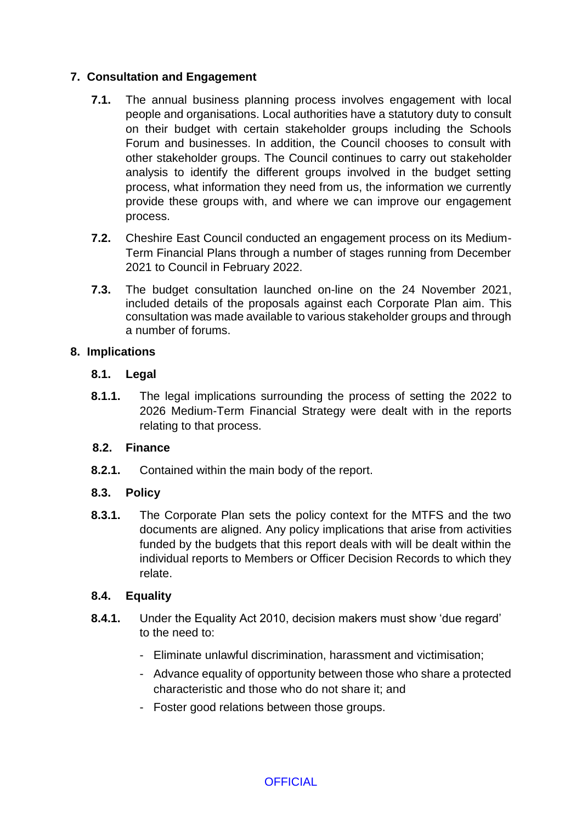# **7. Consultation and Engagement**

- **7.1.** The annual business planning process involves engagement with local people and organisations. Local authorities have a statutory duty to consult on their budget with certain stakeholder groups including the Schools Forum and businesses. In addition, the Council chooses to consult with other stakeholder groups. The Council continues to carry out stakeholder analysis to identify the different groups involved in the budget setting process, what information they need from us, the information we currently provide these groups with, and where we can improve our engagement process.
- **7.2.** Cheshire East Council conducted an engagement process on its Medium-Term Financial Plans through a number of stages running from December 2021 to Council in February 2022.
- **7.3.** The budget consultation launched on-line on the 24 November 2021, included details of the proposals against each Corporate Plan aim. This consultation was made available to various stakeholder groups and through a number of forums.

## **8. Implications**

## **8.1. Legal**

**8.1.1.** The legal implications surrounding the process of setting the 2022 to 2026 Medium-Term Financial Strategy were dealt with in the reports relating to that process.

# **8.2. Finance**

**8.2.1.** Contained within the main body of the report.

# **8.3. Policy**

**8.3.1.** The Corporate Plan sets the policy context for the MTFS and the two documents are aligned. Any policy implications that arise from activities funded by the budgets that this report deals with will be dealt within the individual reports to Members or Officer Decision Records to which they relate.

# **8.4. Equality**

- **8.4.1.** Under the Equality Act 2010, decision makers must show 'due regard' to the need to:
	- Eliminate unlawful discrimination, harassment and victimisation;
	- Advance equality of opportunity between those who share a protected characteristic and those who do not share it; and
	- Foster good relations between those groups.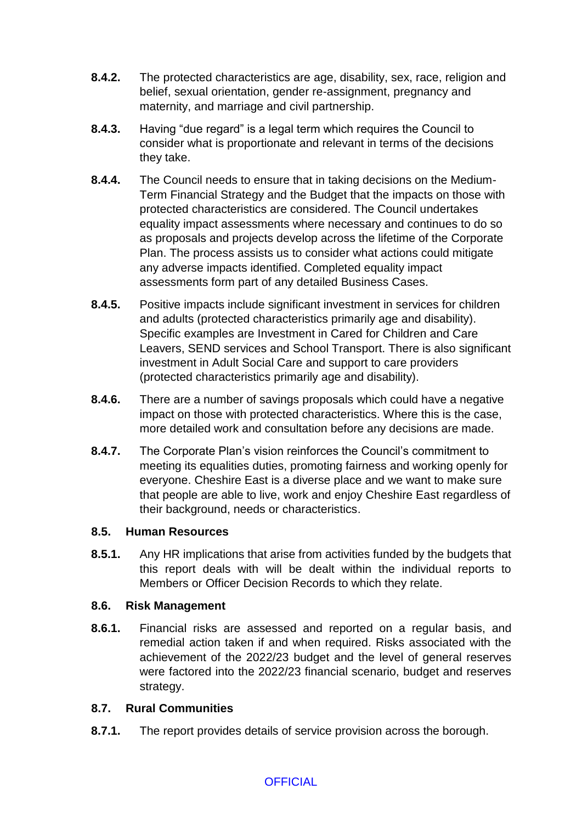- **8.4.2.** The protected characteristics are age, disability, sex, race, religion and belief, sexual orientation, gender re-assignment, pregnancy and maternity, and marriage and civil partnership.
- **8.4.3.** Having "due regard" is a legal term which requires the Council to consider what is proportionate and relevant in terms of the decisions they take.
- **8.4.4.** The Council needs to ensure that in taking decisions on the Medium-Term Financial Strategy and the Budget that the impacts on those with protected characteristics are considered. The Council undertakes equality impact assessments where necessary and continues to do so as proposals and projects develop across the lifetime of the Corporate Plan. The process assists us to consider what actions could mitigate any adverse impacts identified. Completed equality impact assessments form part of any detailed Business Cases.
- **8.4.5.** Positive impacts include significant investment in services for children and adults (protected characteristics primarily age and disability). Specific examples are Investment in Cared for Children and Care Leavers, SEND services and School Transport. There is also significant investment in Adult Social Care and support to care providers (protected characteristics primarily age and disability).
- **8.4.6.** There are a number of savings proposals which could have a negative impact on those with protected characteristics. Where this is the case, more detailed work and consultation before any decisions are made.
- **8.4.7.** The Corporate Plan's vision reinforces the Council's commitment to meeting its equalities duties, promoting fairness and working openly for everyone. Cheshire East is a diverse place and we want to make sure that people are able to live, work and enjoy Cheshire East regardless of their background, needs or characteristics.

# **8.5. Human Resources**

**8.5.1.** Any HR implications that arise from activities funded by the budgets that this report deals with will be dealt within the individual reports to Members or Officer Decision Records to which they relate.

# **8.6. Risk Management**

**8.6.1.** Financial risks are assessed and reported on a regular basis, and remedial action taken if and when required. Risks associated with the achievement of the 2022/23 budget and the level of general reserves were factored into the 2022/23 financial scenario, budget and reserves strategy.

# **8.7. Rural Communities**

**8.7.1.** The report provides details of service provision across the borough.